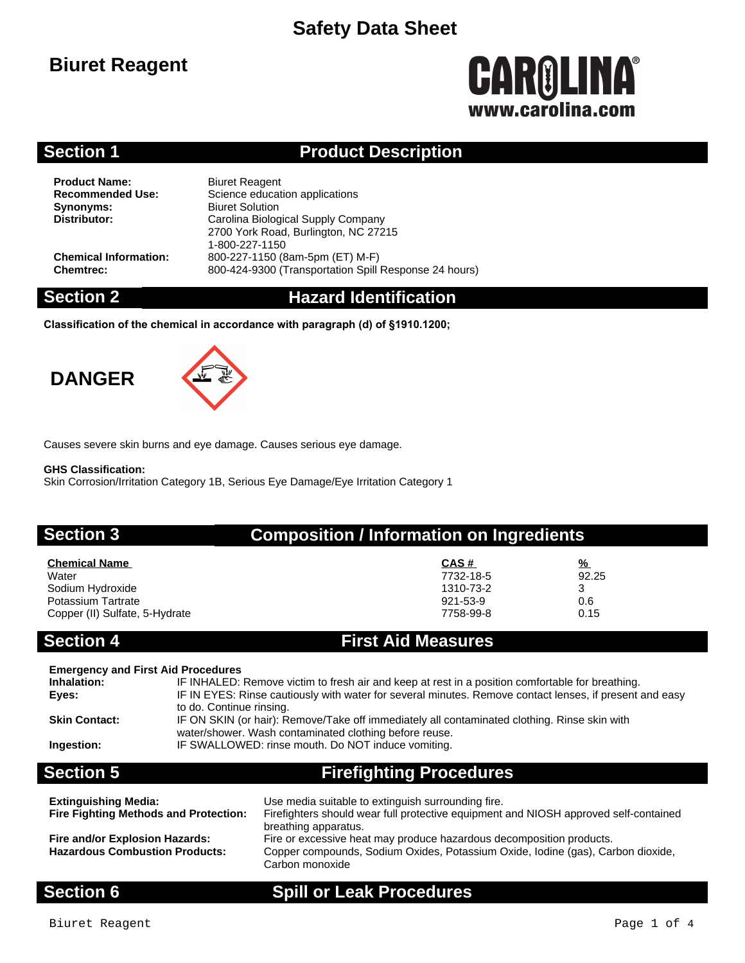# **Biuret Reagent**

# **CAROLINA®** www.carolina.com

### **Section 1 Product Description**

**Product Name:** Biuret Reagent<br> **Recommended Use:** Science educat **Synonyms:** Biuret Solution<br> **Distributor:** Carolina Biolog

**Science education applications Distributor:** Carolina Biological Supply Company 2700 York Road, Burlington, NC 27215 1-800-227-1150 **Chemical Information:** 800-227-1150 (8am-5pm (ET) M-F) **Chemtrec:** 800-424-9300 (Transportation Spill Response 24 hours)

### **Section 2 Hazard Identification**

**Classification of the chemical in accordance with paragraph (d) of §1910.1200;**

# **DANGER**



Causes severe skin burns and eye damage. Causes serious eye damage.

#### **GHS Classification:**

Skin Corrosion/Irritation Category 1B, Serious Eye Damage/Eye Irritation Category 1

#### **Section 3 Composition / Information on Ingredients**

| <b>Chemical Name</b>           | CAS#      | $\frac{9}{6}$ |
|--------------------------------|-----------|---------------|
| Water                          | 7732-18-5 | 92.25         |
| Sodium Hydroxide               | 1310-73-2 |               |
| Potassium Tartrate             | 921-53-9  | 0.6           |
| Copper (II) Sulfate, 5-Hydrate | 7758-99-8 | 0.15          |

#### **Section 4 First Aid Measures**

| <b>Emergency and First Aid Procedures</b><br>Inhalation:<br>Eyes:<br><b>Skin Contact:</b><br>Ingestion: | IF INHALED: Remove victim to fresh air and keep at rest in a position comfortable for breathing.<br>IF IN EYES: Rinse cautiously with water for several minutes. Remove contact lenses, if present and easy<br>to do. Continue rinsing.<br>IF ON SKIN (or hair): Remove/Take off immediately all contaminated clothing. Rinse skin with<br>water/shower. Wash contaminated clothing before reuse.<br>IF SWALLOWED: rinse mouth. Do NOT induce vomiting. |
|---------------------------------------------------------------------------------------------------------|---------------------------------------------------------------------------------------------------------------------------------------------------------------------------------------------------------------------------------------------------------------------------------------------------------------------------------------------------------------------------------------------------------------------------------------------------------|
| <b>Section 5</b>                                                                                        | <b>Firefighting Procedures</b>                                                                                                                                                                                                                                                                                                                                                                                                                          |

| <b>Extinguishing Media:</b>                                             | Use media suitable to extinguish surrounding fire.                                                                                                                                                 |
|-------------------------------------------------------------------------|----------------------------------------------------------------------------------------------------------------------------------------------------------------------------------------------------|
| <b>Fire Fighting Methods and Protection:</b>                            | Firefighters should wear full protective equipment and NIOSH approved self-contained                                                                                                               |
| Fire and/or Explosion Hazards:<br><b>Hazardous Combustion Products:</b> | breathing apparatus.<br>Fire or excessive heat may produce hazardous decomposition products.<br>Copper compounds, Sodium Oxides, Potassium Oxide, Iodine (gas), Carbon dioxide,<br>Carbon monoxide |

### **Section 6 Spill or Leak Procedures**

Biuret Reagent **Page 1 of 4**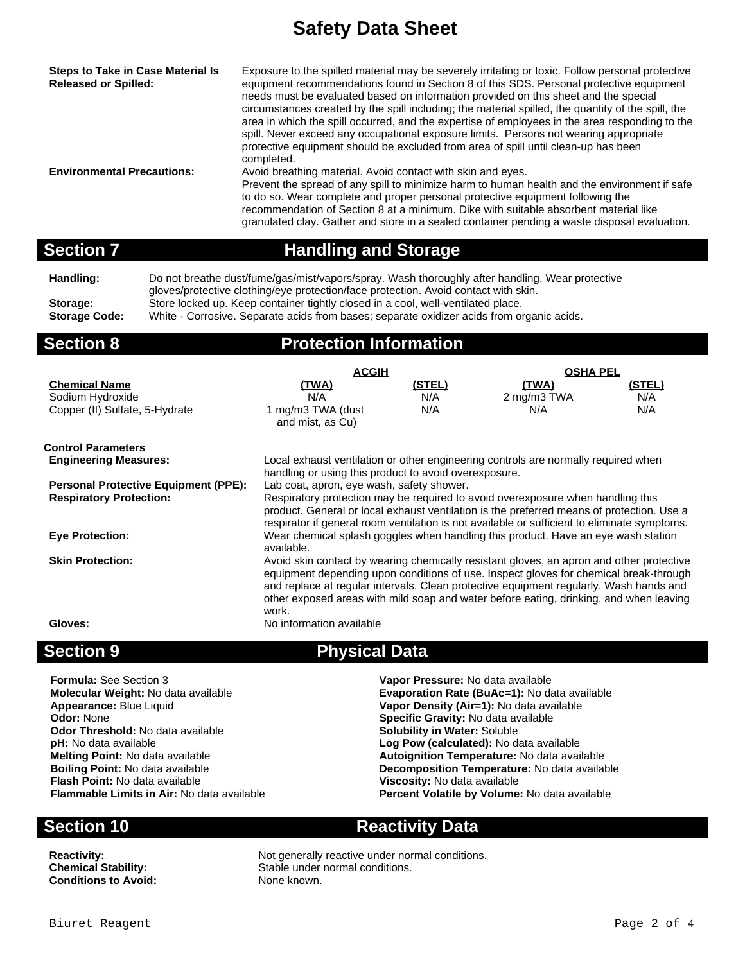**Steps to Take in Case Material Is Released or Spilled:** Exposure to the spilled material may be severely irritating or toxic. Follow personal protective equipment recommendations found in Section 8 of this SDS. Personal protective equipment needs must be evaluated based on information provided on this sheet and the special circumstances created by the spill including; the material spilled, the quantity of the spill, the area in which the spill occurred, and the expertise of employees in the area responding to the spill. Never exceed any occupational exposure limits. Persons not wearing appropriate protective equipment should be excluded from area of spill until clean-up has been completed. **Environmental Precautions:** Avoid breathing material. Avoid contact with skin and eyes. Prevent the spread of any spill to minimize harm to human health and the environment if safe to do so. Wear complete and proper personal protective equipment following the recommendation of Section 8 at a minimum. Dike with suitable absorbent material like granulated clay. Gather and store in a sealed container pending a waste disposal evaluation.

### **Section 7 Handling and Storage**

**Handling:** Do not breathe dust/fume/gas/mist/vapors/spray. Wash thoroughly after handling. Wear protective gloves/protective clothing/eye protection/face protection. Avoid contact with skin. Storage: Store locked up. Keep container tightly closed in a cool, well-ventilated place.

**Storage Code:** White - Corrosive. Separate acids from bases; separate oxidizer acids from organic acids.

### **Section 8 Protection Information**

|                                             | <b>ACGIH</b>                                                                              |               | <b>OSHA PEL</b>                                                                              |               |
|---------------------------------------------|-------------------------------------------------------------------------------------------|---------------|----------------------------------------------------------------------------------------------|---------------|
| <b>Chemical Name</b>                        | (TWA)                                                                                     | <u>(STEL)</u> | (TWA)                                                                                        | <u>(STEL)</u> |
| Sodium Hydroxide                            | N/A                                                                                       | N/A           | 2 mg/m3 TWA                                                                                  | N/A           |
| Copper (II) Sulfate, 5-Hydrate              | 1 mg/m3 TWA (dust<br>and mist, as Cu)                                                     | N/A           | N/A                                                                                          | N/A           |
| <b>Control Parameters</b>                   |                                                                                           |               |                                                                                              |               |
| <b>Engineering Measures:</b>                |                                                                                           |               | Local exhaust ventilation or other engineering controls are normally required when           |               |
|                                             | handling or using this product to avoid overexposure.                                     |               |                                                                                              |               |
| <b>Personal Protective Equipment (PPE):</b> | Lab coat, apron, eye wash, safety shower.                                                 |               |                                                                                              |               |
| <b>Respiratory Protection:</b>              |                                                                                           |               | Respiratory protection may be required to avoid overexposure when handling this              |               |
|                                             | product. General or local exhaust ventilation is the preferred means of protection. Use a |               |                                                                                              |               |
|                                             |                                                                                           |               | respirator if general room ventilation is not available or sufficient to eliminate symptoms. |               |
| <b>Eye Protection:</b>                      | Wear chemical splash goggles when handling this product. Have an eye wash station         |               |                                                                                              |               |
|                                             | available.                                                                                |               |                                                                                              |               |
| <b>Skin Protection:</b>                     | Avoid skin contact by wearing chemically resistant gloves, an apron and other protective  |               |                                                                                              |               |
|                                             | equipment depending upon conditions of use. Inspect gloves for chemical break-through     |               |                                                                                              |               |
|                                             | and replace at regular intervals. Clean protective equipment regularly. Wash hands and    |               |                                                                                              |               |
|                                             |                                                                                           |               | other exposed areas with mild soap and water before eating, drinking, and when leaving       |               |
|                                             | work.                                                                                     |               |                                                                                              |               |
| Gloves:                                     | No information available                                                                  |               |                                                                                              |               |
|                                             |                                                                                           |               |                                                                                              |               |

### **Section 9 Physical Data**

| <b>Formula: See Section 3</b>                     | Vapor Pressure: No data available                   |
|---------------------------------------------------|-----------------------------------------------------|
| Molecular Weight: No data available               | <b>Evaporation Rate (BuAc=1): No data available</b> |
| Appearance: Blue Liquid                           | Vapor Density (Air=1): No data available            |
| <b>Odor: None</b>                                 | Specific Gravity: No data available                 |
| <b>Odor Threshold: No data available</b>          | <b>Solubility in Water: Soluble</b>                 |
| <b>pH:</b> No data available                      | Log Pow (calculated): No data available             |
| <b>Melting Point: No data available</b>           | Autoignition Temperature: No data available         |
| <b>Boiling Point: No data available</b>           | Decomposition Temperature: No data available        |
| <b>Flash Point: No data available</b>             | Viscosity: No data available                        |
| <b>Flammable Limits in Air: No data available</b> | Percent Volatile by Volume: No data available       |
|                                                   |                                                     |

**Conditions to Avoid:** None known.

### **Section 10 Reactivity Data**

**Reactivity:** Not generally reactive under normal conditions. **Chemical Stability:** Stable under normal conditions.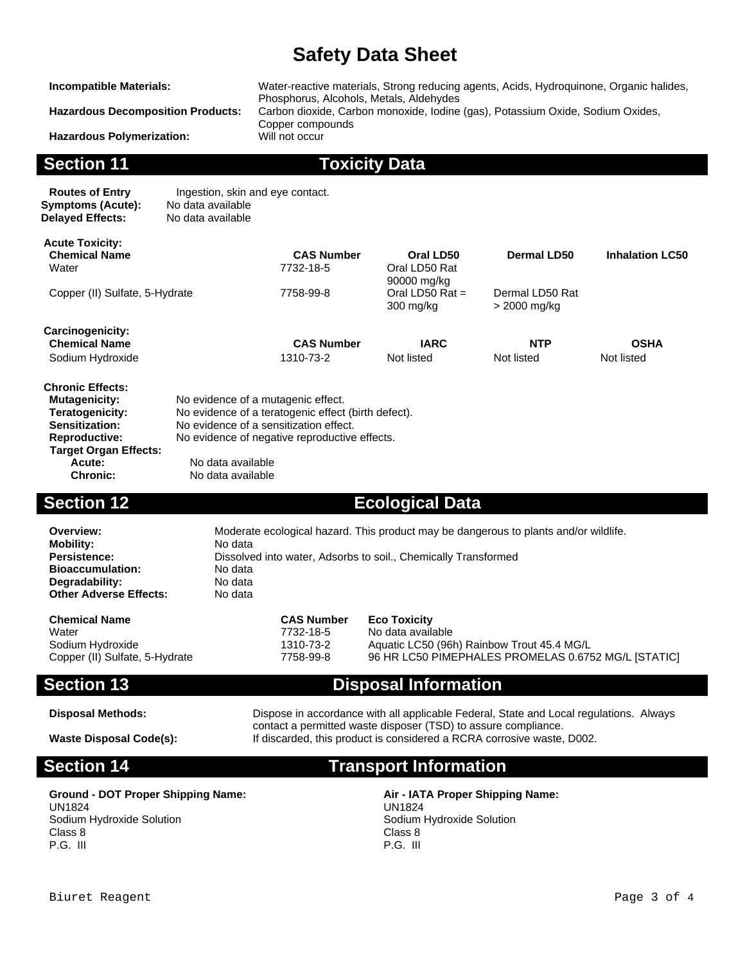**Hazardous Polymerization:** 

**Incompatible Materials:** Water-reactive materials, Strong reducing agents, Acids, Hydroquinone, Organic halides, Phosphorus, Alcohols, Metals, Aldehydes **Hazardous Decomposition Products:** Carbon dioxide, Carbon monoxide, Iodine (gas), Potassium Oxide, Sodium Oxides, Copper compounds<br>Will not occur

**Section 11 Toxicity Data**

| <b>Routes of Entry</b>  | Ingestion, skin and eye contact. |
|-------------------------|----------------------------------|
| Symptoms (Acute):       | No data available                |
| <b>Delaved Effects:</b> | No data available                |

**Acute:** No data available<br> **Chronic:** No data available

**Chronic:** No data available

| <b>Acute Toxicity:</b>                                          |                                                     |                                               |                                |                                 |                        |
|-----------------------------------------------------------------|-----------------------------------------------------|-----------------------------------------------|--------------------------------|---------------------------------|------------------------|
| <b>Chemical Name</b><br>Water<br>Copper (II) Sulfate, 5-Hydrate |                                                     | <b>CAS Number</b>                             | Oral LD50                      | Dermal LD50                     | <b>Inhalation LC50</b> |
|                                                                 |                                                     | 7732-18-5                                     | Oral LD50 Rat<br>90000 mg/kg   |                                 |                        |
|                                                                 |                                                     | 7758-99-8                                     | Oral LD50 Rat $=$<br>300 mg/kg | Dermal LD50 Rat<br>> 2000 mg/kg |                        |
| Carcinogenicity:                                                |                                                     |                                               |                                |                                 |                        |
| <b>Chemical Name</b>                                            |                                                     | <b>CAS Number</b>                             | <b>IARC</b>                    | <b>NTP</b>                      | <b>OSHA</b>            |
| Sodium Hydroxide                                                |                                                     | 1310-73-2                                     | Not listed                     | Not listed                      | Not listed             |
| <b>Chronic Effects:</b>                                         |                                                     |                                               |                                |                                 |                        |
| <b>Mutagenicity:</b>                                            |                                                     | No evidence of a mutagenic effect.            |                                |                                 |                        |
| Teratogenicity:                                                 | No evidence of a teratogenic effect (birth defect). |                                               |                                |                                 |                        |
| Sensitization:                                                  | No evidence of a sensitization effect.              |                                               |                                |                                 |                        |
| <b>Reproductive:</b>                                            |                                                     | No evidence of negative reproductive effects. |                                |                                 |                        |
| <b>Target Organ Effects:</b>                                    |                                                     |                                               |                                |                                 |                        |

#### **Section 12 Ecological Data**

| Overview:                     | Moderate ecological hazard. This product may be dangerous to plants and/or wildlife. |
|-------------------------------|--------------------------------------------------------------------------------------|
| <b>Mobility:</b>              | No data                                                                              |
| <b>Persistence:</b>           | Dissolved into water, Adsorbs to soil., Chemically Transformed                       |
| <b>Bioaccumulation:</b>       | No data                                                                              |
| Degradability:                | No data                                                                              |
| <b>Other Adverse Effects:</b> | No data                                                                              |
|                               |                                                                                      |

| <b>Chemical Name</b>           | <b>CAS Number</b> | <b>Eco Toxicity</b>                                 |
|--------------------------------|-------------------|-----------------------------------------------------|
| Water                          | 7732-18-5         | No data available                                   |
| Sodium Hydroxide               | 1310-73-2         | Aquatic LC50 (96h) Rainbow Trout 45.4 MG/L          |
| Copper (II) Sulfate, 5-Hydrate | 7758-99-8         | 96 HR LC50 PIMEPHALES PROMELAS 0.6752 MG/L [STATIC] |

### **Section 13 Disposal Information**

**Disposal Methods:** Dispose in accordance with all applicable Federal, State and Local regulations. Always contact a permitted waste disposer (TSD) to assure compliance. **Waste Disposal Code(s):** If discarded, this product is considered a RCRA corrosive waste, D002.

# **Section 14 Transport Information**

#### **Ground - DOT Proper Shipping Name: Air - IATA Proper Shipping Name:** UN1824

Sodium Hydroxide Solution Class 8 P.G. III

UN1824 Sodium Hydroxide Solution Class 8 P.G. III